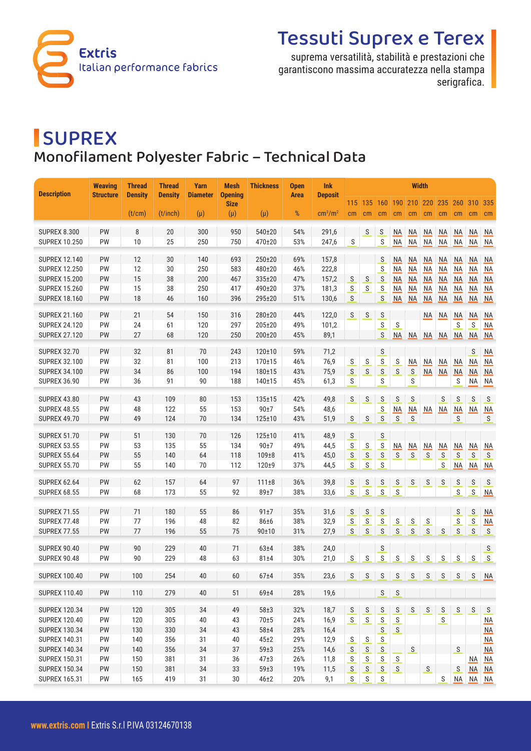

# Tessuti Suprex e Terex

suprema versatilità, stabilità e prestazioni che garantiscono massima accuratezza nella stampa serigrafica.

## **SUPREX** Monofilament Polyester Fabric – Technical Data

| <b>Description</b>                           | <b>Weaving</b>   | <b>Thread</b>  | <b>Thread</b>  | <b>Yarn</b>     | Mesh                          | <b>Thickness</b> | <b>Open</b> | <b>Ink</b>                                       | <b>Width</b>   |                   |                                                                                                                                                                                                                                                                                                                                                                                                                                                               |                                                                                                                                                                                                                                                                                                                                                                                                                                                          |                          |                             |                 |                           |                                                                                                                                                                                                                                                                                                                                                                                                                                                          |                        |
|----------------------------------------------|------------------|----------------|----------------|-----------------|-------------------------------|------------------|-------------|--------------------------------------------------|----------------|-------------------|---------------------------------------------------------------------------------------------------------------------------------------------------------------------------------------------------------------------------------------------------------------------------------------------------------------------------------------------------------------------------------------------------------------------------------------------------------------|----------------------------------------------------------------------------------------------------------------------------------------------------------------------------------------------------------------------------------------------------------------------------------------------------------------------------------------------------------------------------------------------------------------------------------------------------------|--------------------------|-----------------------------|-----------------|---------------------------|----------------------------------------------------------------------------------------------------------------------------------------------------------------------------------------------------------------------------------------------------------------------------------------------------------------------------------------------------------------------------------------------------------------------------------------------------------|------------------------|
|                                              | <b>Structure</b> | <b>Density</b> | <b>Density</b> | <b>Diameter</b> | <b>Opening</b><br><b>Size</b> |                  | <b>Area</b> | <b>Deposit</b>                                   | 115            | 135               | 160                                                                                                                                                                                                                                                                                                                                                                                                                                                           | 190                                                                                                                                                                                                                                                                                                                                                                                                                                                      | 210                      | 220                         | 235             | 260                       | 310                                                                                                                                                                                                                                                                                                                                                                                                                                                      | 335                    |
|                                              |                  | (t/cm)         | (t/inch)       | $(\mu)$         | $(\mu)$                       | $(\mu)$          | $\%$        | $\text{cm}^3/\text{m}^2$                         | cm             | cm                | cm                                                                                                                                                                                                                                                                                                                                                                                                                                                            | cm                                                                                                                                                                                                                                                                                                                                                                                                                                                       | cm                       | cm                          | cm              | cm                        | cm                                                                                                                                                                                                                                                                                                                                                                                                                                                       | cm                     |
| <b>SUPREX 8.300</b>                          | PW               | 8              | 20             | 300             | 950                           | 540±20           | 54%         | 291,6                                            |                | S                 | S                                                                                                                                                                                                                                                                                                                                                                                                                                                             | ΝA                                                                                                                                                                                                                                                                                                                                                                                                                                                       | ΝA                       | ΝA                          | ΝA              | <b>NA</b>                 | ΝA                                                                                                                                                                                                                                                                                                                                                                                                                                                       | NA                     |
| <b>SUPREX 10.250</b>                         | PW               | 10             | 25             | 250             | 750                           | 470±20           | 53%         | 247,6                                            | S              |                   | S                                                                                                                                                                                                                                                                                                                                                                                                                                                             | <b>NA</b>                                                                                                                                                                                                                                                                                                                                                                                                                                                | <b>NA</b>                | <b>NA</b>                   | <b>NA</b>       | NA                        | NA                                                                                                                                                                                                                                                                                                                                                                                                                                                       | <b>NA</b>              |
|                                              |                  |                |                |                 |                               |                  |             |                                                  |                |                   |                                                                                                                                                                                                                                                                                                                                                                                                                                                               |                                                                                                                                                                                                                                                                                                                                                                                                                                                          |                          |                             |                 |                           |                                                                                                                                                                                                                                                                                                                                                                                                                                                          |                        |
| <b>SUPREX 12.140</b>                         | PW               | 12             | 30             | 140             | 693                           | $250 + 20$       | 69%         | 157,8                                            |                |                   | S                                                                                                                                                                                                                                                                                                                                                                                                                                                             | ΝA                                                                                                                                                                                                                                                                                                                                                                                                                                                       | <b>NA</b>                | <b>NA</b>                   | NA              | <b>NA</b>                 | ΝA                                                                                                                                                                                                                                                                                                                                                                                                                                                       | NA                     |
| <b>SUPREX 12.250</b><br><b>SUPREX 15.200</b> | PW               | 12<br>15       | 30             | 250<br>200      | 583                           | 480±20<br>335±20 | 46%<br>47%  | 222,8                                            |                |                   | $\mathsf{S}$                                                                                                                                                                                                                                                                                                                                                                                                                                                  | NA                                                                                                                                                                                                                                                                                                                                                                                                                                                       | <b>NA</b>                | <b>NA</b>                   | NA              | NA                        | <b>NA</b>                                                                                                                                                                                                                                                                                                                                                                                                                                                | $NA$                   |
| <b>SUPREX 15.260</b>                         | <b>PW</b><br>PW  | 15             | 38<br>38       | 250             | 467<br>417                    | 490±20           | 37%         | 157,2<br>181,3                                   | S<br>${\sf S}$ | S<br>$\mathsf{S}$ | S<br>$\mathsf{S}% _{T}=\mathsf{S}_{T}\!\left( a,b\right) ,\ \mathsf{S}_{T}=\mathsf{S}_{T}\!\left( a,b\right) ,\ \mathsf{S}_{T}=\mathsf{S}_{T}\!\left( a,b\right) ,\ \mathsf{S}_{T}=\mathsf{S}_{T}\!\left( a,b\right) ,\ \mathsf{S}_{T}=\mathsf{S}_{T}\!\left( a,b\right) ,\ \mathsf{S}_{T}=\mathsf{S}_{T}\!\left( a,b\right) ,\ \mathsf{S}_{T}=\mathsf{S}_{T}\!\left( a,b\right) ,\ \mathsf{S}_{T}=\mathsf{S}_{T}\!\left( a,b\right) ,\ \mathsf{S}_{T}=\math$ | <b>NA</b><br>NA                                                                                                                                                                                                                                                                                                                                                                                                                                          | <b>NA</b><br>NA          | <b>NA</b><br>M <sub>A</sub> | <b>NA</b><br>NA | <b>NA</b><br>$M\triangle$ | ΝA<br><b>NA</b>                                                                                                                                                                                                                                                                                                                                                                                                                                          | <b>NA</b><br>NA        |
| <b>SUPREX 18.160</b>                         | PW               | 18             | 46             | 160             | 396                           | 295±20           | 51%         | 130,6                                            | S              |                   | S                                                                                                                                                                                                                                                                                                                                                                                                                                                             | NA                                                                                                                                                                                                                                                                                                                                                                                                                                                       | $\overline{\mathsf{NA}}$ | M <sub>A</sub>              | NA              | $M\triangle$              | NA                                                                                                                                                                                                                                                                                                                                                                                                                                                       | NA                     |
|                                              |                  |                |                |                 |                               |                  |             |                                                  |                |                   |                                                                                                                                                                                                                                                                                                                                                                                                                                                               |                                                                                                                                                                                                                                                                                                                                                                                                                                                          |                          |                             |                 |                           |                                                                                                                                                                                                                                                                                                                                                                                                                                                          |                        |
| <b>SUPREX 21.160</b>                         | PW               | 21             | 54             | 150             | 316                           | 280±20           | 44%         | 122,0                                            | S              | S                 | S                                                                                                                                                                                                                                                                                                                                                                                                                                                             |                                                                                                                                                                                                                                                                                                                                                                                                                                                          |                          | <b>NA</b>                   | <b>NA</b>       | <b>NA</b>                 | <b>NA</b>                                                                                                                                                                                                                                                                                                                                                                                                                                                | <b>NA</b>              |
| <b>SUPREX 24.120</b>                         | PW               | 24             | 61             | 120             | 297                           | 205±20           | 49%         | 101,2                                            |                |                   | $\mathsf{S}% _{T}=\mathsf{S}_{T}\!\left( a,b\right) ,\ \mathsf{S}_{T}=\mathsf{S}_{T}\!\left( a,b\right) ,\ \mathsf{S}_{T}=\mathsf{S}_{T}\!\left( a,b\right) ,\ \mathsf{S}_{T}=\mathsf{S}_{T}\!\left( a,b\right) ,\ \mathsf{S}_{T}=\mathsf{S}_{T}\!\left( a,b\right) ,\ \mathsf{S}_{T}=\mathsf{S}_{T}\!\left( a,b\right) ,\ \mathsf{S}_{T}=\mathsf{S}_{T}\!\left( a,b\right) ,\ \mathsf{S}_{T}=\mathsf{S}_{T}\!\left( a,b\right) ,\ \mathsf{S}_{T}=\math$      | S                                                                                                                                                                                                                                                                                                                                                                                                                                                        |                          |                             |                 | S                         | S                                                                                                                                                                                                                                                                                                                                                                                                                                                        | NA                     |
| <b>SUPREX 27.120</b>                         | PW               | 27             | 68             | 120             | 250                           | 200±20           | 45%         | 89,1                                             |                |                   | S                                                                                                                                                                                                                                                                                                                                                                                                                                                             | NA                                                                                                                                                                                                                                                                                                                                                                                                                                                       | NA                       | <b>NA</b>                   | <b>NA</b>       | <b>NA</b>                 | NA                                                                                                                                                                                                                                                                                                                                                                                                                                                       | <b>NA</b>              |
| <b>SUPREX 32.70</b>                          | PW               | 32             | 81             | 70              | 243                           | $120 + 10$       | 59%         | 71,2                                             |                |                   | S                                                                                                                                                                                                                                                                                                                                                                                                                                                             |                                                                                                                                                                                                                                                                                                                                                                                                                                                          |                          |                             |                 |                           | S                                                                                                                                                                                                                                                                                                                                                                                                                                                        | M <sub>A</sub>         |
| <b>SUPREX 32.100</b>                         | PW               | 32             | 81             | 100             | 213                           | $170 + 15$       | 46%         | 76,9                                             | ${\sf S}$      | ${\sf S}$         | ${\sf S}$                                                                                                                                                                                                                                                                                                                                                                                                                                                     | $\mathsf S$                                                                                                                                                                                                                                                                                                                                                                                                                                              | NA                       | <b>NA</b>                   | NA              | M <sub>A</sub>            | <b>NA</b>                                                                                                                                                                                                                                                                                                                                                                                                                                                | <b>NA</b>              |
| <b>SUPREX 34.100</b>                         | PW               | 34             | 86             | 100             | 194                           | 180±15           | 43%         | 75,9                                             | S              | S                 | ${\sf S}$                                                                                                                                                                                                                                                                                                                                                                                                                                                     | S                                                                                                                                                                                                                                                                                                                                                                                                                                                        | $\mathsf{S}$             | NA                          | NA              | M <sub>A</sub>            | <b>NA</b>                                                                                                                                                                                                                                                                                                                                                                                                                                                | NA                     |
| <b>SUPREX 36.90</b>                          | PW               | 36             | 91             | 90              | 188                           | 140±15           | 45%         | 61,3                                             | S              |                   | S                                                                                                                                                                                                                                                                                                                                                                                                                                                             |                                                                                                                                                                                                                                                                                                                                                                                                                                                          | S                        |                             |                 | S                         | <b>NA</b>                                                                                                                                                                                                                                                                                                                                                                                                                                                | <b>NA</b>              |
|                                              |                  |                |                |                 |                               |                  |             |                                                  |                |                   |                                                                                                                                                                                                                                                                                                                                                                                                                                                               |                                                                                                                                                                                                                                                                                                                                                                                                                                                          |                          |                             |                 |                           |                                                                                                                                                                                                                                                                                                                                                                                                                                                          |                        |
| <b>SUPREX 43.80</b>                          | PW               | 43             | 109            | 80              | 153                           | $135 + 15$       | 42%         | 49,8                                             | S              | S                 | S                                                                                                                                                                                                                                                                                                                                                                                                                                                             | S                                                                                                                                                                                                                                                                                                                                                                                                                                                        | S                        |                             | S               | S                         | S                                                                                                                                                                                                                                                                                                                                                                                                                                                        | S                      |
| <b>SUPREX 48.55</b>                          | PW               | 48             | 122            | 55              | 153                           | 90±7             | 54%         | 48,6                                             |                |                   | ${\sf S}$                                                                                                                                                                                                                                                                                                                                                                                                                                                     | NA                                                                                                                                                                                                                                                                                                                                                                                                                                                       | NA                       | M                           | NA              | $M\triangle$              | M                                                                                                                                                                                                                                                                                                                                                                                                                                                        | M <sub>A</sub>         |
| <b>SUPREX 49.70</b>                          | PW               | 49             | 124            | 70              | 134                           | 125±10           | 43%         | 51,9                                             | S              | S                 | $\mathsf{S}% _{T}=\mathsf{S}_{T}\!\left( a,b\right) ,\ \mathsf{S}_{T}=\mathsf{S}_{T}\!\left( a,b\right) ,\ \mathsf{S}_{T}=\mathsf{S}_{T}\!\left( a,b\right) ,\ \mathsf{S}_{T}=\mathsf{S}_{T}\!\left( a,b\right) ,\ \mathsf{S}_{T}=\mathsf{S}_{T}\!\left( a,b\right) ,\ \mathsf{S}_{T}=\mathsf{S}_{T}\!\left( a,b\right) ,\ \mathsf{S}_{T}=\mathsf{S}_{T}\!\left( a,b\right) ,\ \mathsf{S}_{T}=\mathsf{S}_{T}\!\left( a,b\right) ,\ \mathsf{S}_{T}=\math$      | $\mathsf{S}$                                                                                                                                                                                                                                                                                                                                                                                                                                             | ${\sf S}$                |                             |                 | S                         |                                                                                                                                                                                                                                                                                                                                                                                                                                                          | S                      |
| <b>SUPREX 51.70</b>                          | PW               | 51             | 130            | 70              | 126                           | 125±10           | 41%         | 48,9                                             | S              |                   | S                                                                                                                                                                                                                                                                                                                                                                                                                                                             |                                                                                                                                                                                                                                                                                                                                                                                                                                                          |                          |                             |                 |                           |                                                                                                                                                                                                                                                                                                                                                                                                                                                          |                        |
| <b>SUPREX 53.55</b>                          | PW               | 53             | 135            | 55              | 134                           | 90±7             | 49%         | 44,5                                             | S              | ${\mathsf S}$     | $\mathsf{S}% _{T}=\mathsf{S}_{T}\!\left( a,b\right) ,\ \mathsf{S}_{T}=\mathsf{S}_{T}\!\left( a,b\right) ,\ \mathsf{S}_{T}=\mathsf{S}_{T}\!\left( a,b\right) ,\ \mathsf{S}_{T}=\mathsf{S}_{T}\!\left( a,b\right) ,\ \mathsf{S}_{T}=\mathsf{S}_{T}\!\left( a,b\right) ,\ \mathsf{S}_{T}=\mathsf{S}_{T}\!\left( a,b\right) ,\ \mathsf{S}_{T}=\mathsf{S}_{T}\!\left( a,b\right) ,\ \mathsf{S}_{T}=\mathsf{S}_{T}\!\left( a,b\right) ,\ \mathsf{S}_{T}=\math$      | NA                                                                                                                                                                                                                                                                                                                                                                                                                                                       | $M\triangle$             | M <sub>A</sub>              | NA              | $M\triangle$              | NA                                                                                                                                                                                                                                                                                                                                                                                                                                                       | M                      |
| <b>SUPREX 55.64</b>                          | PW               | 55             | 140            | 64              | 118                           | 109±8            | 41%         | 45,0                                             | ${\mathsf S}$  | ${\sf S}$         | S                                                                                                                                                                                                                                                                                                                                                                                                                                                             | S                                                                                                                                                                                                                                                                                                                                                                                                                                                        | S                        | S                           | S               | S                         | S                                                                                                                                                                                                                                                                                                                                                                                                                                                        | S                      |
| <b>SUPREX 55.70</b>                          | PW               | 55             | 140            | 70              | 112                           | $120 + 9$        | 37%         | 44,5                                             | $\mathsf S$    | $\mathsf{S}$      | $\mathsf S$                                                                                                                                                                                                                                                                                                                                                                                                                                                   |                                                                                                                                                                                                                                                                                                                                                                                                                                                          |                          |                             | $\mathsf S$     | NA                        | NA                                                                                                                                                                                                                                                                                                                                                                                                                                                       | NA                     |
| <b>SUPREX 62.64</b>                          | PW               | 62             | 157            | 64              | 97                            | 111±8            | 36%         | 39,8                                             | $\mathsf{S}$   | $\mathsf{S}$      | S                                                                                                                                                                                                                                                                                                                                                                                                                                                             | S                                                                                                                                                                                                                                                                                                                                                                                                                                                        | $\mathsf{S}$             | S                           | S               | $\mathsf{S}$              | S                                                                                                                                                                                                                                                                                                                                                                                                                                                        | S                      |
| <b>SUPREX 68.55</b>                          | PW               | 68             | 173            | 55              | 92                            | 89±7             | 38%         | 33,6                                             | S              | $\mathsf{S}$      | $\mathsf S$                                                                                                                                                                                                                                                                                                                                                                                                                                                   | $\mathsf S$                                                                                                                                                                                                                                                                                                                                                                                                                                              |                          |                             |                 | S                         | $\mathsf{S}$                                                                                                                                                                                                                                                                                                                                                                                                                                             | NA                     |
|                                              |                  |                |                |                 |                               |                  |             |                                                  |                |                   |                                                                                                                                                                                                                                                                                                                                                                                                                                                               |                                                                                                                                                                                                                                                                                                                                                                                                                                                          |                          |                             |                 |                           |                                                                                                                                                                                                                                                                                                                                                                                                                                                          |                        |
| <b>SUPREX 71.55</b>                          | PW               | 71             | 180            | 55              | 86                            | 91±7             | 35%         | 31,6                                             | ${\mathsf S}$  | S                 | S                                                                                                                                                                                                                                                                                                                                                                                                                                                             |                                                                                                                                                                                                                                                                                                                                                                                                                                                          |                          |                             |                 | S                         | $\mathsf{S}% _{T}=\mathsf{S}_{T}\!\left( a,b\right) ,\ \mathsf{S}_{T}=\mathsf{S}_{T}\!\left( a,b\right) ,\ \mathsf{S}_{T}=\mathsf{S}_{T}\!\left( a,b\right) ,\ \mathsf{S}_{T}=\mathsf{S}_{T}\!\left( a,b\right) ,\ \mathsf{S}_{T}=\mathsf{S}_{T}\!\left( a,b\right) ,\ \mathsf{S}_{T}=\mathsf{S}_{T}\!\left( a,b\right) ,\ \mathsf{S}_{T}=\mathsf{S}_{T}\!\left( a,b\right) ,\ \mathsf{S}_{T}=\mathsf{S}_{T}\!\left( a,b\right) ,\ \mathsf{S}_{T}=\math$ | <b>NA</b>              |
| <b>SUPREX 77.48</b>                          | PW               | 77             | 196            | 48              | 82                            | 86±6             | 38%         | 32,9                                             | S              | S                 | S                                                                                                                                                                                                                                                                                                                                                                                                                                                             | $\mathsf{S}$                                                                                                                                                                                                                                                                                                                                                                                                                                             | $\mathsf{S}$             | S                           |                 | S                         | $\mathsf{S}$                                                                                                                                                                                                                                                                                                                                                                                                                                             | NA                     |
| <b>SUPREX 77.55</b>                          | PW               | 77             | 196            | 55              | 75                            | 90±10            | 31%         | 27,9                                             | S              | $\mathsf{S}$      | $\mathsf{S}% _{T}=\mathsf{S}_{T}\!\left( a,b\right) ,\ \mathsf{S}_{T}=\mathsf{S}_{T}\!\left( a,b\right) ,\ \mathsf{S}_{T}=\mathsf{S}_{T}\!\left( a,b\right) ,\ \mathsf{S}_{T}=\mathsf{S}_{T}\!\left( a,b\right) ,\ \mathsf{S}_{T}=\mathsf{S}_{T}\!\left( a,b\right) ,\ \mathsf{S}_{T}=\mathsf{S}_{T}\!\left( a,b\right) ,\ \mathsf{S}_{T}=\mathsf{S}_{T}\!\left( a,b\right) ,\ \mathsf{S}_{T}=\mathsf{S}_{T}\!\left( a,b\right) ,\ \mathsf{S}_{T}=\math$      | $\mathsf{S}$                                                                                                                                                                                                                                                                                                                                                                                                                                             | $\mathsf{S}$             | $\mathsf{S}$                | S               | $\mathsf{S}$              | $\mathsf S$                                                                                                                                                                                                                                                                                                                                                                                                                                              | S                      |
| <b>SUPREX 90.40</b>                          | PW               | 90             | 229            | 40              | 71                            | 63±4             | 38%         | 24,0                                             |                |                   | S                                                                                                                                                                                                                                                                                                                                                                                                                                                             |                                                                                                                                                                                                                                                                                                                                                                                                                                                          |                          |                             |                 |                           |                                                                                                                                                                                                                                                                                                                                                                                                                                                          | S                      |
| <b>SUPREX 90.48</b>                          | PW               | 90             | 229            | 48              | 63                            | $81 + 4$         | 30%         | 21,0                                             | S              | ${\sf S}$         | S                                                                                                                                                                                                                                                                                                                                                                                                                                                             | S                                                                                                                                                                                                                                                                                                                                                                                                                                                        | S                        | S                           | S               | S                         | S                                                                                                                                                                                                                                                                                                                                                                                                                                                        | S                      |
| SUPREX 100.40                                | PW               | $100\,$        | 254            | $40\,$          | 60                            | 67±4             | $35\%$      | 23,6   <u>S   S   S   S   S   S   S   S   NA</u> |                |                   |                                                                                                                                                                                                                                                                                                                                                                                                                                                               |                                                                                                                                                                                                                                                                                                                                                                                                                                                          |                          |                             |                 |                           |                                                                                                                                                                                                                                                                                                                                                                                                                                                          |                        |
| <b>SUPREX 110.40</b>                         | PW               | 110            | 279            | 40              | 51                            | 69±4             | 28%         | 19,6                                             |                |                   | S                                                                                                                                                                                                                                                                                                                                                                                                                                                             | S                                                                                                                                                                                                                                                                                                                                                                                                                                                        |                          |                             |                 |                           |                                                                                                                                                                                                                                                                                                                                                                                                                                                          |                        |
|                                              |                  |                |                |                 |                               |                  |             |                                                  |                |                   |                                                                                                                                                                                                                                                                                                                                                                                                                                                               |                                                                                                                                                                                                                                                                                                                                                                                                                                                          |                          |                             |                 |                           |                                                                                                                                                                                                                                                                                                                                                                                                                                                          |                        |
| <b>SUPREX 120.34</b>                         | PW               | 120            | 305            | 34              | 49                            | 58±3             | 32%         | 18,7                                             | ${\mathsf S}$  | S                 | S                                                                                                                                                                                                                                                                                                                                                                                                                                                             | $\mathsf{S}% _{T}=\mathsf{S}_{T}\!\left( a,b\right) ,\ \mathsf{S}_{T}=\mathsf{S}_{T}\!\left( a,b\right) ,\ \mathsf{S}_{T}=\mathsf{S}_{T}\!\left( a,b\right) ,\ \mathsf{S}_{T}=\mathsf{S}_{T}\!\left( a,b\right) ,\ \mathsf{S}_{T}=\mathsf{S}_{T}\!\left( a,b\right) ,\ \mathsf{S}_{T}=\mathsf{S}_{T}\!\left( a,b\right) ,\ \mathsf{S}_{T}=\mathsf{S}_{T}\!\left( a,b\right) ,\ \mathsf{S}_{T}=\mathsf{S}_{T}\!\left( a,b\right) ,\ \mathsf{S}_{T}=\math$ | S                        | S                           | S               | S                         | S                                                                                                                                                                                                                                                                                                                                                                                                                                                        | S                      |
| <b>SUPREX 120.40</b><br><b>SUPREX 130.34</b> | PW               | 120            | 305            | 40<br>34        | 43<br>43                      | 70±5             | 24%<br>28%  | 16,9                                             | ${\mathsf S}$  | S                 | S                                                                                                                                                                                                                                                                                                                                                                                                                                                             | S<br>S                                                                                                                                                                                                                                                                                                                                                                                                                                                   |                          |                             | S               |                           |                                                                                                                                                                                                                                                                                                                                                                                                                                                          | $M\triangle$           |
| <b>SUPREX 140.31</b>                         | <b>PW</b><br>PW  | 130<br>140     | 330<br>356     | 31              | 40                            | 58±4<br>45±2     | 29%         | 16,4                                             |                |                   | S                                                                                                                                                                                                                                                                                                                                                                                                                                                             |                                                                                                                                                                                                                                                                                                                                                                                                                                                          |                          |                             |                 |                           |                                                                                                                                                                                                                                                                                                                                                                                                                                                          | $M\triangle$<br>NA     |
| <b>SUPREX 140.34</b>                         | PW               | 140            | 356            | 34              | 37                            | 59±3             | 25%         | 12,9<br>14,6                                     | S<br>S         | S<br>${\sf S}$    | S<br>S                                                                                                                                                                                                                                                                                                                                                                                                                                                        |                                                                                                                                                                                                                                                                                                                                                                                                                                                          | S                        |                             |                 | S                         |                                                                                                                                                                                                                                                                                                                                                                                                                                                          | M <sub>A</sub>         |
| <b>SUPREX 150.31</b>                         | PW               | 150            | 381            | 31              | 36                            | 47±3             | 26%         | 11,8                                             | ${\mathsf S}$  | S                 | S                                                                                                                                                                                                                                                                                                                                                                                                                                                             | S                                                                                                                                                                                                                                                                                                                                                                                                                                                        |                          |                             |                 |                           | NA                                                                                                                                                                                                                                                                                                                                                                                                                                                       | M <sub>A</sub>         |
| <b>SUPREX 150.34</b>                         | PW               | 150            | 381            | 34              | 33                            | 59±3             | 19%         | 11,5                                             | ${\mathsf S}$  | S                 | S                                                                                                                                                                                                                                                                                                                                                                                                                                                             | S                                                                                                                                                                                                                                                                                                                                                                                                                                                        |                          | S                           |                 | S                         | $M_{A}$                                                                                                                                                                                                                                                                                                                                                                                                                                                  | $\overline{\text{NA}}$ |
| <b>SUPREX 165.31</b>                         | PW               | 165            | 419            | 31              | $30\,$                        | 46±2             | 20%         | 9,1                                              | S              | $\mathsf S$       | S                                                                                                                                                                                                                                                                                                                                                                                                                                                             |                                                                                                                                                                                                                                                                                                                                                                                                                                                          |                          |                             | S               | <b>NA</b>                 | <b>NA</b>                                                                                                                                                                                                                                                                                                                                                                                                                                                | NA                     |
|                                              |                  |                |                |                 |                               |                  |             |                                                  |                |                   |                                                                                                                                                                                                                                                                                                                                                                                                                                                               |                                                                                                                                                                                                                                                                                                                                                                                                                                                          |                          |                             |                 |                           |                                                                                                                                                                                                                                                                                                                                                                                                                                                          |                        |